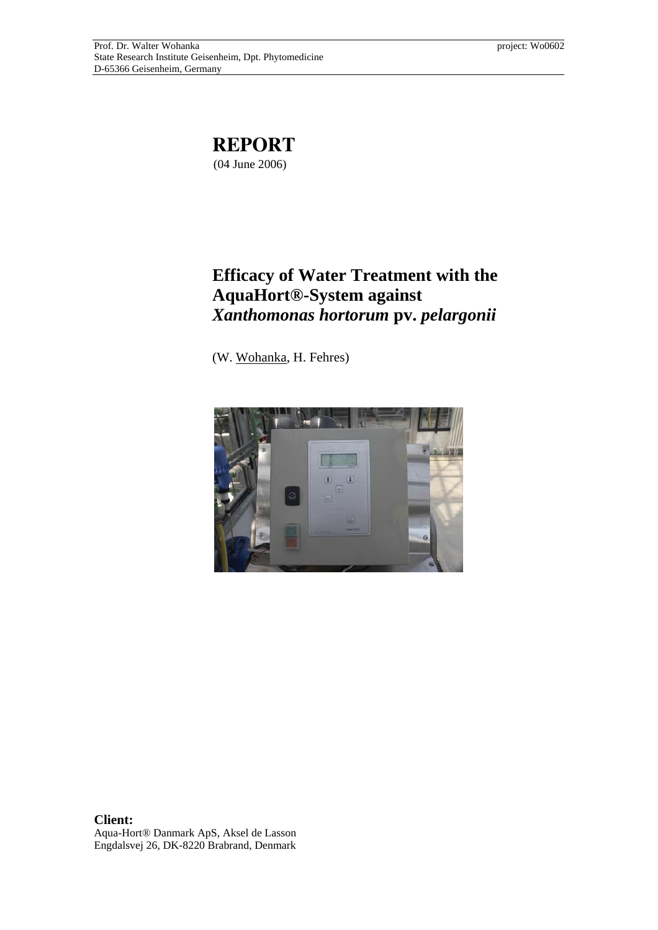

# **Efficacy of Water Treatment with the AquaHort®-System against**  *Xanthomonas hortorum* **pv.** *pelargonii*

(W. Wohanka, H. Fehres)



**Client:**  Aqua-Hort® Danmark ApS, Aksel de Lasson Engdalsvej 26, DK-8220 Brabrand, Denmark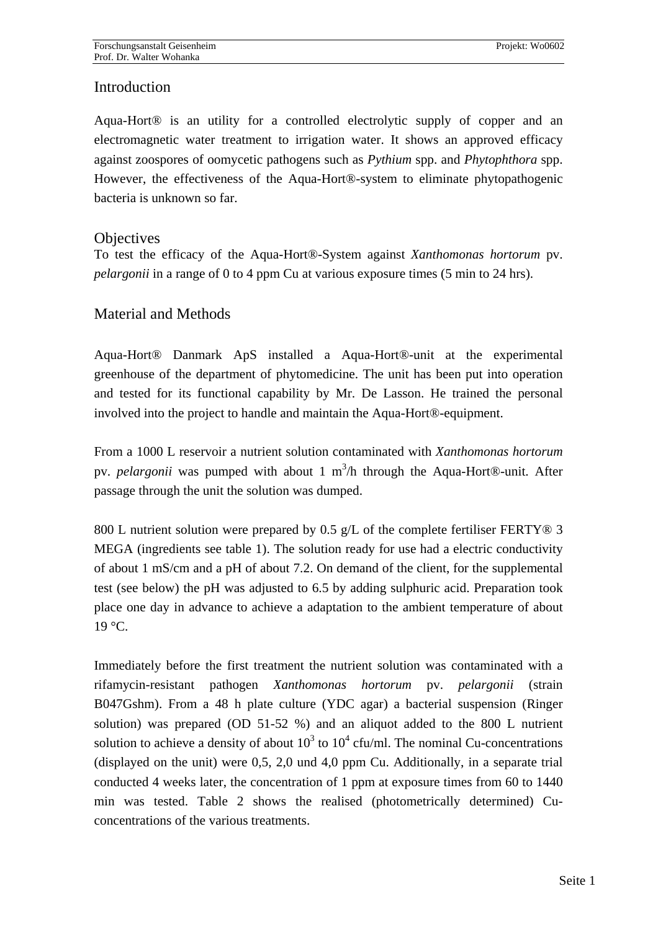## **Introduction**

Aqua-Hort® is an utility for a controlled electrolytic supply of copper and an electromagnetic water treatment to irrigation water. It shows an approved efficacy against zoospores of oomycetic pathogens such as *Pythium* spp. and *Phytophthora* spp. However, the effectiveness of the Aqua-Hort®-system to eliminate phytopathogenic bacteria is unknown so far.

### **Objectives**

To test the efficacy of the Aqua-Hort®-System against *Xanthomonas hortorum* pv. *pelargonii* in a range of 0 to 4 ppm Cu at various exposure times (5 min to 24 hrs).

## Material and Methods

Aqua-Hort® Danmark ApS installed a Aqua-Hort®-unit at the experimental greenhouse of the department of phytomedicine. The unit has been put into operation and tested for its functional capability by Mr. De Lasson. He trained the personal involved into the project to handle and maintain the Aqua-Hort®-equipment.

From a 1000 L reservoir a nutrient solution contaminated with *Xanthomonas hortorum* pv. *pelargonii* was pumped with about 1 m<sup>3</sup>/h through the Aqua-Hort®-unit. After passage through the unit the solution was dumped.

800 L nutrient solution were prepared by 0.5 g/L of the complete fertiliser FERTY<sup>®</sup> 3 MEGA (ingredients see table 1). The solution ready for use had a electric conductivity of about 1 mS/cm and a pH of about 7.2. On demand of the client, for the supplemental test (see below) the pH was adjusted to 6.5 by adding sulphuric acid. Preparation took place one day in advance to achieve a adaptation to the ambient temperature of about  $19^{\circ}$ C.

Immediately before the first treatment the nutrient solution was contaminated with a rifamycin-resistant pathogen *Xanthomonas hortorum* pv. *pelargonii* (strain B047Gshm). From a 48 h plate culture (YDC agar) a bacterial suspension (Ringer solution) was prepared (OD 51-52 %) and an aliquot added to the 800 L nutrient solution to achieve a density of about  $10^3$  to  $10^4$  cfu/ml. The nominal Cu-concentrations (displayed on the unit) were 0,5, 2,0 und 4,0 ppm Cu. Additionally, in a separate trial conducted 4 weeks later, the concentration of 1 ppm at exposure times from 60 to 1440 min was tested. Table 2 shows the realised (photometrically determined) Cuconcentrations of the various treatments.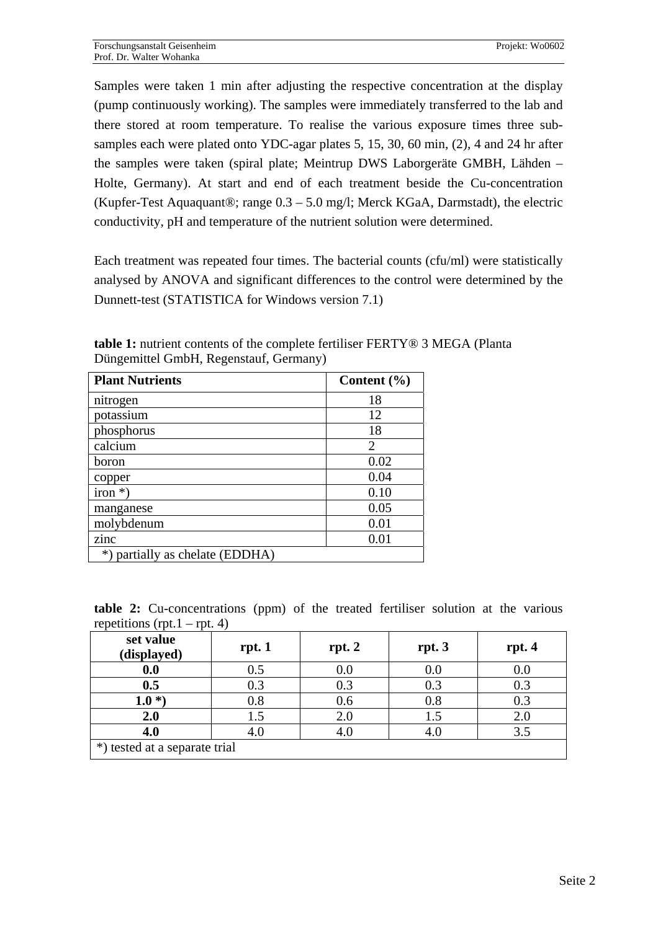Samples were taken 1 min after adjusting the respective concentration at the display (pump continuously working). The samples were immediately transferred to the lab and there stored at room temperature. To realise the various exposure times three subsamples each were plated onto YDC-agar plates 5, 15, 30, 60 min, (2), 4 and 24 hr after the samples were taken (spiral plate; Meintrup DWS Laborgeräte GMBH, Lähden – Holte, Germany). At start and end of each treatment beside the Cu-concentration (Kupfer-Test Aquaquant®; range 0.3 – 5.0 mg/l; Merck KGaA, Darmstadt), the electric conductivity, pH and temperature of the nutrient solution were determined.

Each treatment was repeated four times. The bacterial counts (cfu/ml) were statistically analysed by ANOVA and significant differences to the control were determined by the Dunnett-test (STATISTICA for Windows version 7.1)

**table 1:** nutrient contents of the complete fertiliser FERTY® 3 MEGA (Planta Düngemittel GmbH, Regenstauf, Germany)

| <b>Plant Nutrients</b>                 | Content $(\% )$ |
|----------------------------------------|-----------------|
| nitrogen                               | 18              |
| potassium                              | 12              |
| phosphorus                             | 18              |
| calcium                                | $\overline{2}$  |
| boron                                  | 0.02            |
| copper                                 | 0.04            |
| $iron *$ )                             | 0.10            |
| manganese                              | 0.05            |
| molybdenum                             | 0.01            |
| zinc                                   | 0.01            |
| partially as chelate (EDDHA)<br>$^{*}$ |                 |

**table 2:** Cu-concentrations (ppm) of the treated fertiliser solution at the various repetitions (rpt.  $1 - \text{rpt. } 4$ )

| set value<br>(displayed)      | rpt. 1 | rpt. 2  | rpt.3     | rpt.4   |  |  |
|-------------------------------|--------|---------|-----------|---------|--|--|
| 0.0                           | 0.5    | $0.0\,$ | $\rm 0.0$ | $0.0\,$ |  |  |
| 0.5                           | 0.3    | 0.3     | 0.3       | 0.3     |  |  |
| $1.0*)$                       | 0.8    | 0.6     | 0.8       | 0.3     |  |  |
| 2.0                           | 1.5    | 2.0     | 1.5       | 2.0     |  |  |
| 4.0                           | 4.0    | 4.0     |           | 3.5     |  |  |
| *) tested at a separate trial |        |         |           |         |  |  |